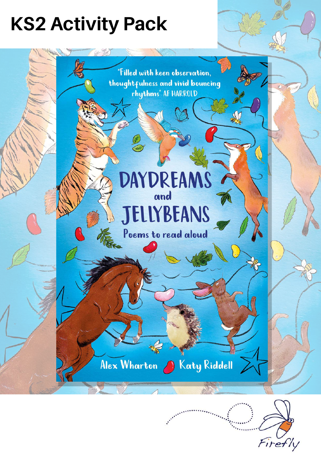## **KS2 Activity Pack**

"Filled with keen observation, thoughtfulness and vivid bouncing rhythms" AF HARROLD

# **DAYDREAMS JELLYBEANS**

A

Poems to read aloud

Alex Wharton & Katy Riddell

Firefly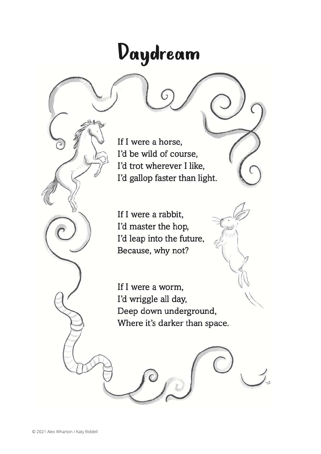## Daydream

If I were a horse, I'd be wild of course, I'd trot wherever I like, I'd gallop faster than light.

If I were a rabbit, I'd master the hop, I'd leap into the future, Because, why not?

If I were a worm, I'd wriggle all day, Deep down underground, Where it's darker than space.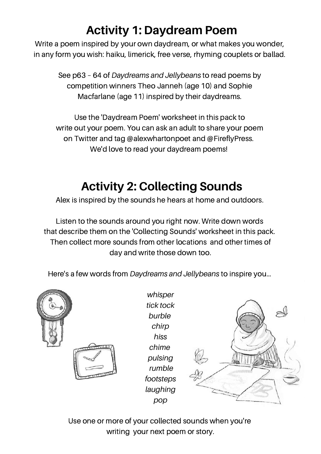#### **Activity 1: Daydream Poem**

Write a poem inspired by your own daydream, or what makes you wonder, in any form you wish: haiku, limerick, free verse, rhyming couplets or ballad.

See p63 – 64 of *Daydreams and Jellybeans* to read poems by competition winners Theo Janneh (age 10) and Sophie Macfarlane (age 11) inspired by their daydreams.

Use the 'Daydream Poem' worksheet in this pack to write out your poem. You can ask an adult to share your poem on Twitter and tag @alexwhartonpoet and @FireflyPress. We'd love to read your daydream poems!

#### **Activity 2: Collecting Sounds**

Alex is inspired by the sounds he hears at home and outdoors.

Listen to the sounds around you right now. Write down words that describe them on the 'Collecting Sounds' worksheet in this pack. Then collect more sounds from other locations and other times of day and write those down too.

Here's a few words from *Daydreams and Jellybeans* to inspire you...





*whisper tick tock burble chirp hiss chime pulsing rumble footsteps laughing pop*



Use one or more of your collected sounds when you're writing your next poem or story.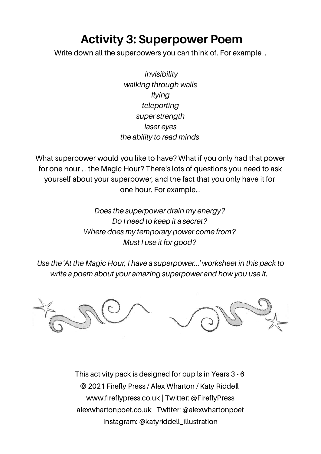#### **Activity 3: Superpower Poem**

Write down all the superpowers you can think of. For example...

*invisibility walking through walls flying teleporting super strength laser eyes the ability to read minds*

What superpower would you like to have? What if you only had that power for one hour ... the Magic Hour? There's lots of questions you need to ask yourself about your superpower, and the fact that you only have it for one hour. For example...

> *Does the superpower drain my energy? Do I need to keep it a secret? Where does my temporary power come from? Must I use it for good?*

*Use the 'At the Magic Hour, I have a superpower...' worksheet in this pack to write a poem about your amazing superpower and how you use it.*



This activity pack is designed for pupils in Years 3 - 6 © 2021 Firefly Press / Alex Wharton / Katy Riddell www.fireflypress.co.uk | Twitter: @FireflyPress alexwhartonpoet.co.uk | Twitter: @alexwhartonpoet Instagram: @katyriddell\_illustration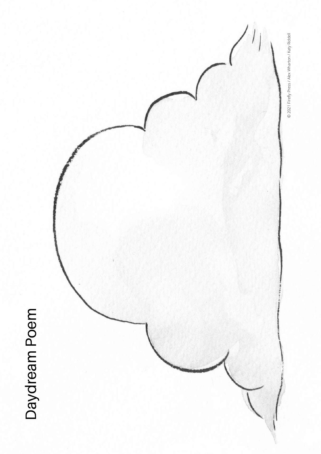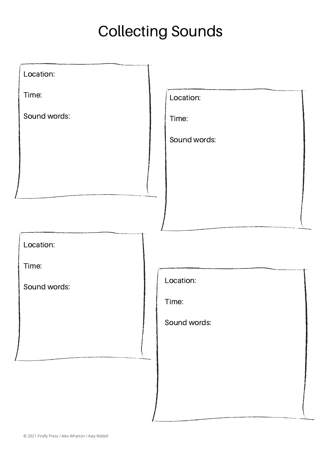### Collecting Sounds

| Location:    |              |
|--------------|--------------|
| Time:        | Location:    |
| Sound words: | Time:        |
|              | Sound words: |
|              |              |
|              |              |
|              |              |
|              |              |
| Location:    |              |
| Time:        |              |
| Sound words: | Location:    |
|              | Time:        |
|              | Sound words: |
|              |              |
|              |              |
|              |              |
|              |              |